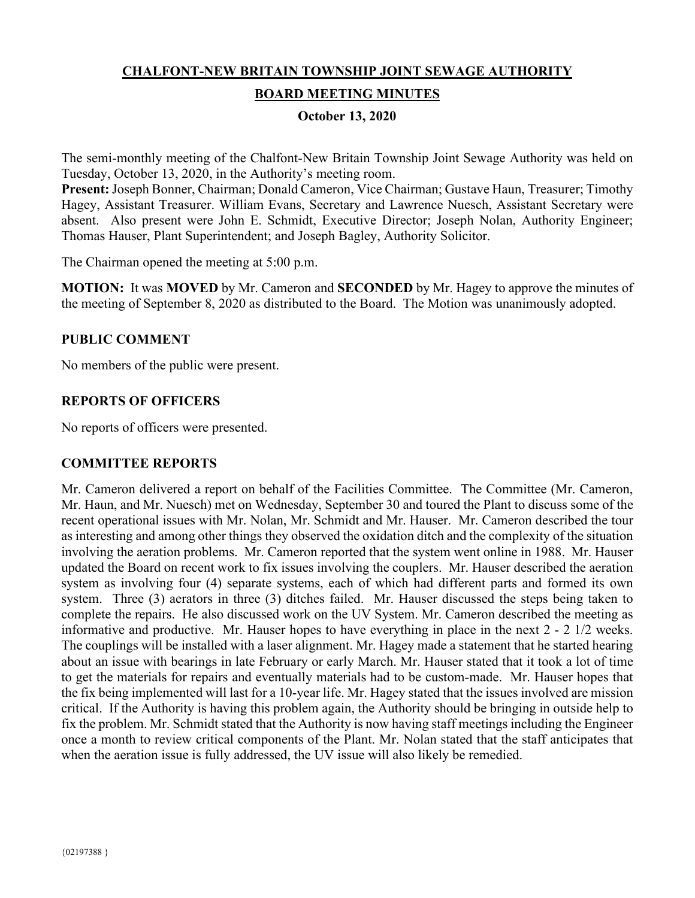# **CHALFONT-NEW BRITAIN TOWNSHIP JOINT SEWAGE AUTHORITY BOARD MEETING MINUTES**

# **October 13, 2020**

The semi-monthly meeting of the Chalfont-New Britain Township Joint Sewage Authority was held on Tuesday, October 13, 2020, in the Authority's meeting room.

**Present:** Joseph Bonner, Chairman; Donald Cameron, Vice Chairman; Gustave Haun, Treasurer; Timothy Hagey, Assistant Treasurer. William Evans, Secretary and Lawrence Nuesch, Assistant Secretary were absent. Also present were John E. Schmidt, Executive Director; Joseph Nolan, Authority Engineer; Thomas Hauser, Plant Superintendent; and Joseph Bagley, Authority Solicitor.

The Chairman opened the meeting at 5:00 p.m.

**MOTION:** It was **MOVED** by Mr. Cameron and **SECONDED** by Mr. Hagey to approve the minutes of the meeting of September 8, 2020 as distributed to the Board. The Motion was unanimously adopted.

#### **PUBLIC COMMENT**

No members of the public were present.

## **REPORTS OF OFFICERS**

No reports of officers were presented.

#### **COMMITTEE REPORTS**

Mr. Cameron delivered a report on behalf of the Facilities Committee. The Committee (Mr. Cameron, Mr. Haun, and Mr. Nuesch) met on Wednesday, September 30 and toured the Plant to discuss some of the recent operational issues with Mr. Nolan, Mr. Schmidt and Mr. Hauser. Mr. Cameron described the tour as interesting and among other things they observed the oxidation ditch and the complexity of the situation involving the aeration problems. Mr. Cameron reported that the system went online in 1988. Mr. Hauser updated the Board on recent work to fix issues involving the couplers. Mr. Hauser described the aeration system as involving four (4) separate systems, each of which had different parts and formed its own system. Three (3) aerators in three (3) ditches failed. Mr. Hauser discussed the steps being taken to complete the repairs. He also discussed work on the UV System. Mr. Cameron described the meeting as informative and productive. Mr. Hauser hopes to have everything in place in the next 2 - 2 1/2 weeks. The couplings will be installed with a laser alignment. Mr. Hagey made a statement that he started hearing about an issue with bearings in late February or early March. Mr. Hauser stated that it took a lot of time to get the materials for repairs and eventually materials had to be custom-made. Mr. Hauser hopes that the fix being implemented will last for a 10-year life. Mr. Hagey stated that the issues involved are mission critical. If the Authority is having this problem again, the Authority should be bringing in outside help to fix the problem. Mr. Schmidt stated that the Authority is now having staff meetings including the Engineer once a month to review critical components of the Plant. Mr. Nolan stated that the staff anticipates that when the aeration issue is fully addressed, the UV issue will also likely be remedied.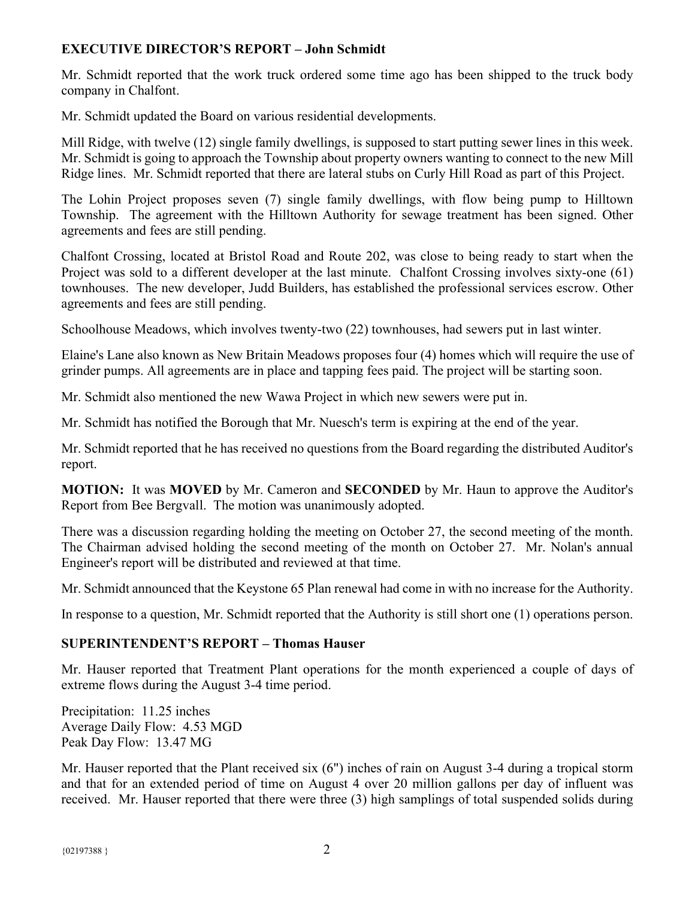# **EXECUTIVE DIRECTOR'S REPORT – John Schmidt**

Mr. Schmidt reported that the work truck ordered some time ago has been shipped to the truck body company in Chalfont.

Mr. Schmidt updated the Board on various residential developments.

Mill Ridge, with twelve (12) single family dwellings, is supposed to start putting sewer lines in this week. Mr. Schmidt is going to approach the Township about property owners wanting to connect to the new Mill Ridge lines. Mr. Schmidt reported that there are lateral stubs on Curly Hill Road as part of this Project.

The Lohin Project proposes seven (7) single family dwellings, with flow being pump to Hilltown Township. The agreement with the Hilltown Authority for sewage treatment has been signed. Other agreements and fees are still pending.

Chalfont Crossing, located at Bristol Road and Route 202, was close to being ready to start when the Project was sold to a different developer at the last minute. Chalfont Crossing involves sixty-one (61) townhouses. The new developer, Judd Builders, has established the professional services escrow. Other agreements and fees are still pending.

Schoolhouse Meadows, which involves twenty-two (22) townhouses, had sewers put in last winter.

Elaine's Lane also known as New Britain Meadows proposes four (4) homes which will require the use of grinder pumps. All agreements are in place and tapping fees paid. The project will be starting soon.

Mr. Schmidt also mentioned the new Wawa Project in which new sewers were put in.

Mr. Schmidt has notified the Borough that Mr. Nuesch's term is expiring at the end of the year.

Mr. Schmidt reported that he has received no questions from the Board regarding the distributed Auditor's report.

**MOTION:** It was **MOVED** by Mr. Cameron and **SECONDED** by Mr. Haun to approve the Auditor's Report from Bee Bergvall. The motion was unanimously adopted.

There was a discussion regarding holding the meeting on October 27, the second meeting of the month. The Chairman advised holding the second meeting of the month on October 27. Mr. Nolan's annual Engineer's report will be distributed and reviewed at that time.

Mr. Schmidt announced that the Keystone 65 Plan renewal had come in with no increase for the Authority.

In response to a question, Mr. Schmidt reported that the Authority is still short one (1) operations person.

# **SUPERINTENDENT'S REPORT – Thomas Hauser**

Mr. Hauser reported that Treatment Plant operations for the month experienced a couple of days of extreme flows during the August 3-4 time period.

Precipitation: 11.25 inches Average Daily Flow: 4.53 MGD Peak Day Flow: 13.47 MG

Mr. Hauser reported that the Plant received six (6") inches of rain on August 3-4 during a tropical storm and that for an extended period of time on August 4 over 20 million gallons per day of influent was received. Mr. Hauser reported that there were three (3) high samplings of total suspended solids during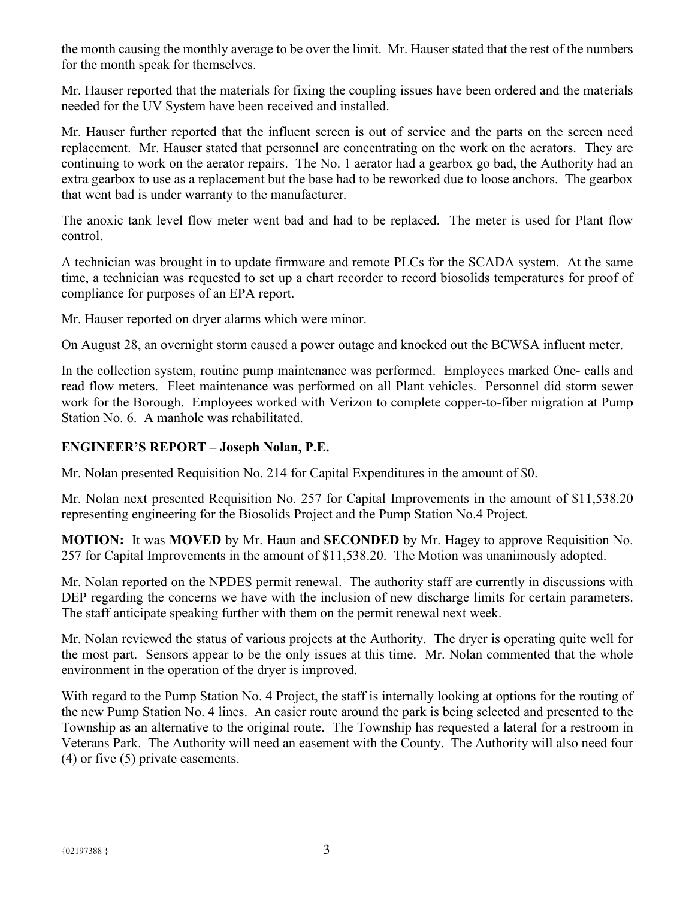the month causing the monthly average to be over the limit. Mr. Hauser stated that the rest of the numbers for the month speak for themselves.

Mr. Hauser reported that the materials for fixing the coupling issues have been ordered and the materials needed for the UV System have been received and installed.

Mr. Hauser further reported that the influent screen is out of service and the parts on the screen need replacement. Mr. Hauser stated that personnel are concentrating on the work on the aerators. They are continuing to work on the aerator repairs. The No. 1 aerator had a gearbox go bad, the Authority had an extra gearbox to use as a replacement but the base had to be reworked due to loose anchors. The gearbox that went bad is under warranty to the manufacturer.

The anoxic tank level flow meter went bad and had to be replaced. The meter is used for Plant flow control.

A technician was brought in to update firmware and remote PLCs for the SCADA system. At the same time, a technician was requested to set up a chart recorder to record biosolids temperatures for proof of compliance for purposes of an EPA report.

Mr. Hauser reported on dryer alarms which were minor.

On August 28, an overnight storm caused a power outage and knocked out the BCWSA influent meter.

In the collection system, routine pump maintenance was performed. Employees marked One- calls and read flow meters. Fleet maintenance was performed on all Plant vehicles. Personnel did storm sewer work for the Borough. Employees worked with Verizon to complete copper-to-fiber migration at Pump Station No. 6. A manhole was rehabilitated.

# **ENGINEER'S REPORT – Joseph Nolan, P.E.**

Mr. Nolan presented Requisition No. 214 for Capital Expenditures in the amount of \$0.

Mr. Nolan next presented Requisition No. 257 for Capital Improvements in the amount of \$11,538.20 representing engineering for the Biosolids Project and the Pump Station No.4 Project.

**MOTION:** It was **MOVED** by Mr. Haun and **SECONDED** by Mr. Hagey to approve Requisition No. 257 for Capital Improvements in the amount of \$11,538.20. The Motion was unanimously adopted.

Mr. Nolan reported on the NPDES permit renewal. The authority staff are currently in discussions with DEP regarding the concerns we have with the inclusion of new discharge limits for certain parameters. The staff anticipate speaking further with them on the permit renewal next week.

Mr. Nolan reviewed the status of various projects at the Authority. The dryer is operating quite well for the most part. Sensors appear to be the only issues at this time. Mr. Nolan commented that the whole environment in the operation of the dryer is improved.

With regard to the Pump Station No. 4 Project, the staff is internally looking at options for the routing of the new Pump Station No. 4 lines. An easier route around the park is being selected and presented to the Township as an alternative to the original route. The Township has requested a lateral for a restroom in Veterans Park. The Authority will need an easement with the County. The Authority will also need four (4) or five (5) private easements.